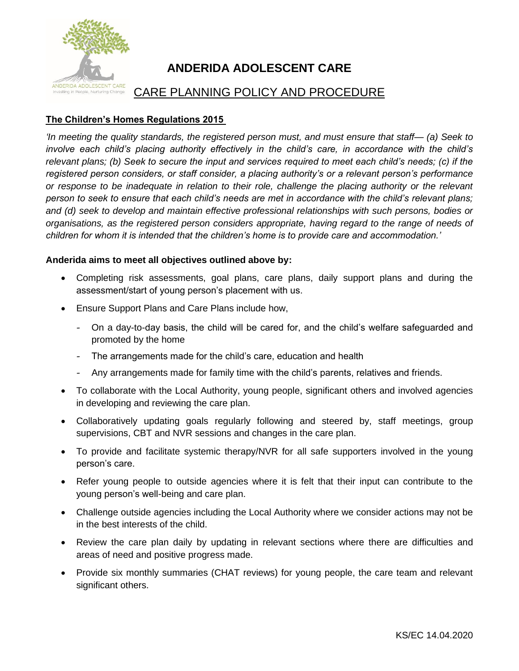

## **ANDERIDA ADOLESCENT CARE**

## CARE PLANNING POLICY AND PROCEDURE

## **The Children's Homes Regulations 2015**

*'In meeting the quality standards, the registered person must, and must ensure that staff— (a) Seek to involve each child's placing authority effectively in the child's care, in accordance with the child's relevant plans; (b) Seek to secure the input and services required to meet each child's needs; (c) if the registered person considers, or staff consider, a placing authority's or a relevant person's performance or response to be inadequate in relation to their role, challenge the placing authority or the relevant person to seek to ensure that each child's needs are met in accordance with the child's relevant plans; and (d) seek to develop and maintain effective professional relationships with such persons, bodies or organisations, as the registered person considers appropriate, having regard to the range of needs of children for whom it is intended that the children's home is to provide care and accommodation.'*

## **Anderida aims to meet all objectives outlined above by:**

- Completing risk assessments, goal plans, care plans, daily support plans and during the assessment/start of young person's placement with us.
- Ensure Support Plans and Care Plans include how,
	- On a day-to-day basis, the child will be cared for, and the child's welfare safeguarded and promoted by the home
	- The arrangements made for the child's care, education and health
	- Any arrangements made for family time with the child's parents, relatives and friends.
- To collaborate with the Local Authority, young people, significant others and involved agencies in developing and reviewing the care plan.
- Collaboratively updating goals regularly following and steered by, staff meetings, group supervisions, CBT and NVR sessions and changes in the care plan.
- To provide and facilitate systemic therapy/NVR for all safe supporters involved in the young person's care.
- Refer young people to outside agencies where it is felt that their input can contribute to the young person's well-being and care plan.
- Challenge outside agencies including the Local Authority where we consider actions may not be in the best interests of the child.
- Review the care plan daily by updating in relevant sections where there are difficulties and areas of need and positive progress made.
- Provide six monthly summaries (CHAT reviews) for young people, the care team and relevant significant others.